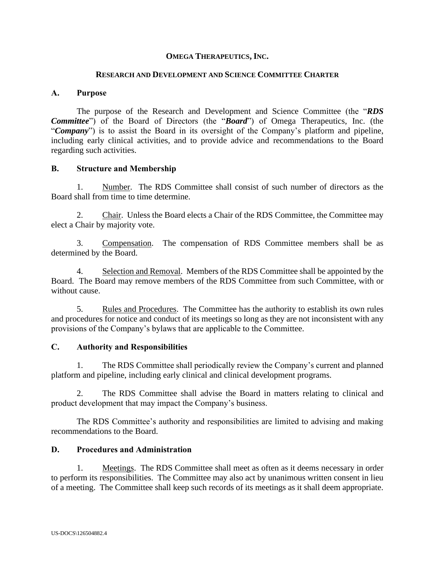# **OMEGA THERAPEUTICS, INC.**

#### **RESEARCH AND DEVELOPMENT AND SCIENCE COMMITTEE CHARTER**

### **A. Purpose**

The purpose of the Research and Development and Science Committee (the "*RDS Committee*") of the Board of Directors (the "*Board*") of Omega Therapeutics, Inc. (the "*Company*") is to assist the Board in its oversight of the Company's platform and pipeline, including early clinical activities, and to provide advice and recommendations to the Board regarding such activities.

### **B. Structure and Membership**

1. Number. The RDS Committee shall consist of such number of directors as the Board shall from time to time determine.

2. Chair. Unless the Board elects a Chair of the RDS Committee, the Committee may elect a Chair by majority vote.

3. Compensation. The compensation of RDS Committee members shall be as determined by the Board.

4. Selection and Removal. Members of the RDS Committee shall be appointed by the Board. The Board may remove members of the RDS Committee from such Committee, with or without cause.

5. Rules and Procedures. The Committee has the authority to establish its own rules and procedures for notice and conduct of its meetings so long as they are not inconsistent with any provisions of the Company's bylaws that are applicable to the Committee.

#### **C. Authority and Responsibilities**

1. The RDS Committee shall periodically review the Company's current and planned platform and pipeline, including early clinical and clinical development programs.

2. The RDS Committee shall advise the Board in matters relating to clinical and product development that may impact the Company's business.

The RDS Committee's authority and responsibilities are limited to advising and making recommendations to the Board.

# **D. Procedures and Administration**

1. Meetings. The RDS Committee shall meet as often as it deems necessary in order to perform its responsibilities. The Committee may also act by unanimous written consent in lieu of a meeting. The Committee shall keep such records of its meetings as it shall deem appropriate.